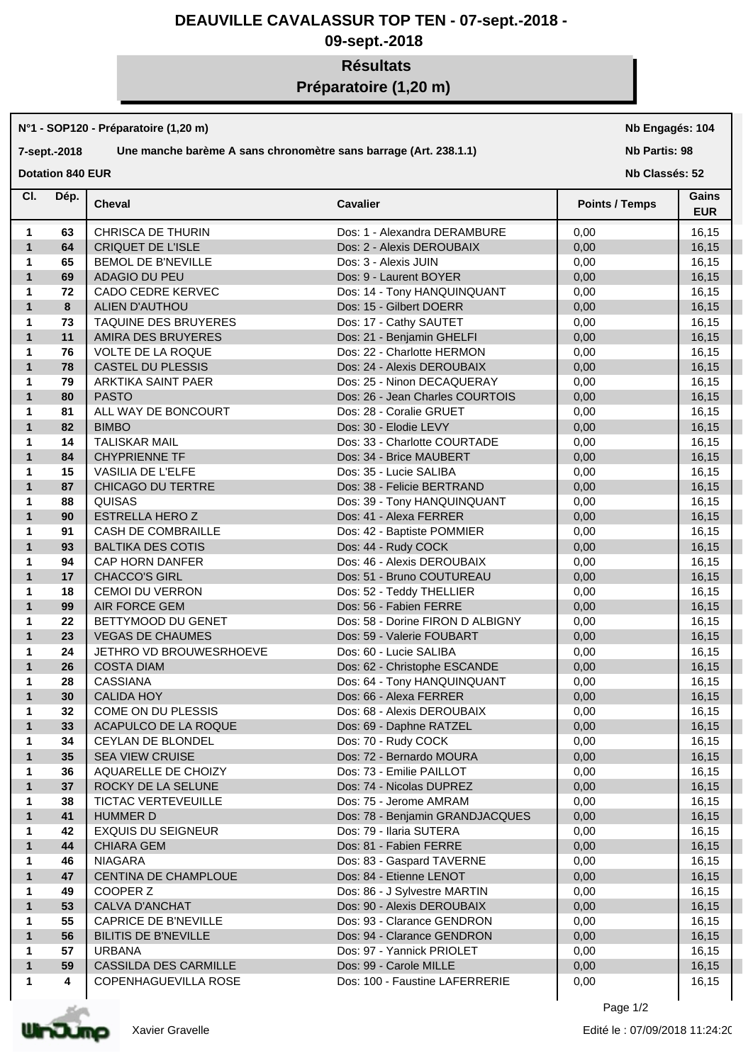# **DEAUVILLE CAVALASSUR TOP TEN - 07-sept.-2018 -**

# **09-sept.-2018**

# **Résultats Préparatoire (1,20 m)**

#### **N°1 - SOP120 - Préparatoire (1,20 m)**

### **7-sept.-2018 Une manche barème A sans chronomètre sans barrage (Art. 238.1.1)**

**Nb Engagés: 104**

#### **Nb Partis: 98**

**Dotation 840 EUR** 

**Nb Classés: 52** 

| CI.               | Dép.     | <b>Cheval</b>                             | <b>Cavalier</b>                                      | <b>Points / Temps</b> | Gains<br><b>EUR</b> |
|-------------------|----------|-------------------------------------------|------------------------------------------------------|-----------------------|---------------------|
| -1                | 63       | <b>CHRISCA DE THURIN</b>                  | Dos: 1 - Alexandra DERAMBURE                         | 0,00                  | 16,15               |
| $\mathbf{1}$      | 64       | <b>CRIQUET DE L'ISLE</b>                  | Dos: 2 - Alexis DEROUBAIX                            | 0,00                  | 16,15               |
| $\mathbf{1}$      | 65       | <b>BEMOL DE B'NEVILLE</b>                 | Dos: 3 - Alexis JUIN                                 | 0,00                  | 16,15               |
| $\mathbf{1}$      | 69       | ADAGIO DU PEU                             | Dos: 9 - Laurent BOYER                               | 0,00                  | 16,15               |
| $\mathbf{1}$      | 72       | CADO CEDRE KERVEC                         | Dos: 14 - Tony HANQUINQUANT                          | 0,00                  | 16,15               |
| $\mathbf{1}$      | 8        | ALIEN D'AUTHOU                            | Dos: 15 - Gilbert DOERR                              | 0,00                  | 16,15               |
| $\mathbf{1}$      | 73       | TAQUINE DES BRUYERES                      | Dos: 17 - Cathy SAUTET                               | 0,00                  | 16,15               |
| $\mathbf{1}$      | 11       | AMIRA DES BRUYERES                        | Dos: 21 - Benjamin GHELFI                            | 0,00                  | 16,15               |
| $\mathbf{1}$      | 76       | <b>VOLTE DE LA ROQUE</b>                  | Dos: 22 - Charlotte HERMON                           | 0,00                  | 16,15               |
| $\mathbf{1}$      | 78       | <b>CASTEL DU PLESSIS</b>                  | Dos: 24 - Alexis DEROUBAIX                           | 0,00                  | 16,15               |
| $\mathbf{1}$      | 79       | ARKTIKA SAINT PAER                        | Dos: 25 - Ninon DECAQUERAY                           | 0,00                  | 16,15               |
| $\mathbf{1}$      | 80       | <b>PASTO</b>                              | Dos: 26 - Jean Charles COURTOIS                      | 0,00                  | 16,15               |
| $\mathbf 1$       | 81       | ALL WAY DE BONCOURT                       | Dos: 28 - Coralie GRUET                              | 0,00                  | 16,15               |
| $\mathbf{1}$      | 82       | <b>BIMBO</b>                              | Dos: 30 - Elodie LEVY                                | 0,00                  | 16,15               |
| 1                 | 14       | <b>TALISKAR MAIL</b>                      | Dos: 33 - Charlotte COURTADE                         | 0,00                  | 16,15               |
| $\mathbf{1}$      | 84       | <b>CHYPRIENNE TF</b>                      | Dos: 34 - Brice MAUBERT                              | 0,00                  | 16,15               |
| $\mathbf{1}$      | 15       | <b>VASILIA DE L'ELFE</b>                  | Dos: 35 - Lucie SALIBA                               | 0,00                  | 16,15               |
| $\mathbf{1}$      | 87       | CHICAGO DU TERTRE                         | Dos: 38 - Felicie BERTRAND                           | 0,00                  | 16,15               |
| $\mathbf 1$       | 88       | QUISAS                                    | Dos: 39 - Tony HANQUINQUANT                          | 0,00                  | 16,15               |
| $\mathbf{1}$      | 90       | <b>ESTRELLA HERO Z</b>                    | Dos: 41 - Alexa FERRER                               | 0,00                  | 16,15               |
| $\mathbf{1}$      | 91       | CASH DE COMBRAILLE                        | Dos: 42 - Baptiste POMMIER                           | 0,00                  | 16,15               |
| $\mathbf{1}$      | 93       | <b>BALTIKA DES COTIS</b>                  | Dos: 44 - Rudy COCK                                  | 0,00                  | 16,15               |
| $\mathbf 1$       | 94       | CAP HORN DANFER                           | Dos: 46 - Alexis DEROUBAIX                           | 0,00                  | 16,15               |
| $\mathbf{1}$      | 17       | <b>CHACCO'S GIRL</b>                      | Dos: 51 - Bruno COUTUREAU                            | 0,00                  | 16,15               |
| 1                 | 18       | <b>CEMOI DU VERRON</b>                    | Dos: 52 - Teddy THELLIER                             | 0,00                  | 16,15               |
| $\mathbf{1}$      | 99       | AIR FORCE GEM                             | Dos: 56 - Fabien FERRE                               | 0,00                  | 16,15               |
| 1                 | 22       | BETTYMOOD DU GENET                        | Dos: 58 - Dorine FIRON D ALBIGNY                     | 0,00                  | 16,15               |
| $\mathbf{1}$      | 23       | <b>VEGAS DE CHAUMES</b>                   | Dos: 59 - Valerie FOUBART                            | 0,00                  | 16,15               |
| 1                 | 24       | JETHRO VD BROUWESRHOEVE                   | Dos: 60 - Lucie SALIBA                               | 0,00                  | 16,15               |
| $\mathbf{1}$      | 26       | <b>COSTA DIAM</b>                         | Dos: 62 - Christophe ESCANDE                         | 0,00                  | 16,15               |
| 1                 | 28       | CASSIANA                                  | Dos: 64 - Tony HANQUINQUANT                          | 0,00                  | 16,15               |
| $\mathbf{1}$      | 30       | <b>CALIDA HOY</b>                         | Dos: 66 - Alexa FERRER                               | 0,00                  | 16,15               |
| 1                 | 32       | COME ON DU PLESSIS                        | Dos: 68 - Alexis DEROUBAIX                           | 0,00                  | 16,15               |
| $\mathbf{1}$      | 33       | ACAPULCO DE LA ROQUE                      | Dos: 69 - Daphne RATZEL                              | 0,00                  | 16,15               |
| 1                 | 34       | CEYLAN DE BLONDEL                         | Dos: 70 - Rudy COCK                                  | 0,00                  | 16,15               |
| 1                 | 35       |                                           |                                                      |                       |                     |
|                   |          | SEA VIEW CRUISE                           | Dos: 72 - Bernardo MOURA<br>Dos: 73 - Emilie PAILLOT | 0,00                  | 16, 15              |
| 1<br>$\mathbf{1}$ | 36<br>37 | AQUARELLE DE CHOIZY<br>ROCKY DE LA SELUNE | Dos: 74 - Nicolas DUPREZ                             | 0,00<br>0,00          | 16,15<br>16, 15     |
| 1                 | 38       | <b>TICTAC VERTEVEUILLE</b>                | Dos: 75 - Jerome AMRAM                               | 0,00                  |                     |
| $\mathbf{1}$      | 41       | <b>HUMMER D</b>                           | Dos: 78 - Benjamin GRANDJACQUES                      | 0,00                  | 16,15<br>16, 15     |
|                   | 42       | <b>EXQUIS DU SEIGNEUR</b>                 | Dos: 79 - Ilaria SUTERA                              |                       |                     |
| 1<br>$\mathbf{1}$ | 44       |                                           |                                                      | 0,00                  | 16,15               |
|                   |          | <b>CHIARA GEM</b>                         | Dos: 81 - Fabien FERRE                               | 0,00                  | 16, 15              |
| 1                 | 46<br>47 | <b>NIAGARA</b>                            | Dos: 83 - Gaspard TAVERNE<br>Dos: 84 - Etienne LENOT | 0,00                  | 16,15               |
| $\mathbf{1}$      |          | CENTINA DE CHAMPLOUE                      |                                                      | 0,00                  | 16, 15              |
| 1                 | 49       | COOPER Z                                  | Dos: 86 - J Sylvestre MARTIN                         | 0,00                  | 16,15               |
| $\mathbf{1}$      | 53       | <b>CALVA D'ANCHAT</b>                     | Dos: 90 - Alexis DEROUBAIX                           | 0,00                  | 16, 15              |
| 1                 | 55       | <b>CAPRICE DE B'NEVILLE</b>               | Dos: 93 - Clarance GENDRON                           | 0,00                  | 16,15               |
| $\mathbf{1}$      | 56       | <b>BILITIS DE B'NEVILLE</b>               | Dos: 94 - Clarance GENDRON                           | 0,00                  | 16, 15              |
| 1                 | 57       | <b>URBANA</b>                             | Dos: 97 - Yannick PRIOLET                            | 0,00                  | 16,15               |
| $\mathbf{1}$      | 59       | <b>CASSILDA DES CARMILLE</b>              | Dos: 99 - Carole MILLE                               | 0,00                  | 16,15               |
| 1                 | 4        | COPENHAGUEVILLA ROSE                      | Dos: 100 - Faustine LAFERRERIE                       | 0,00                  | 16,15               |



Page 1/2